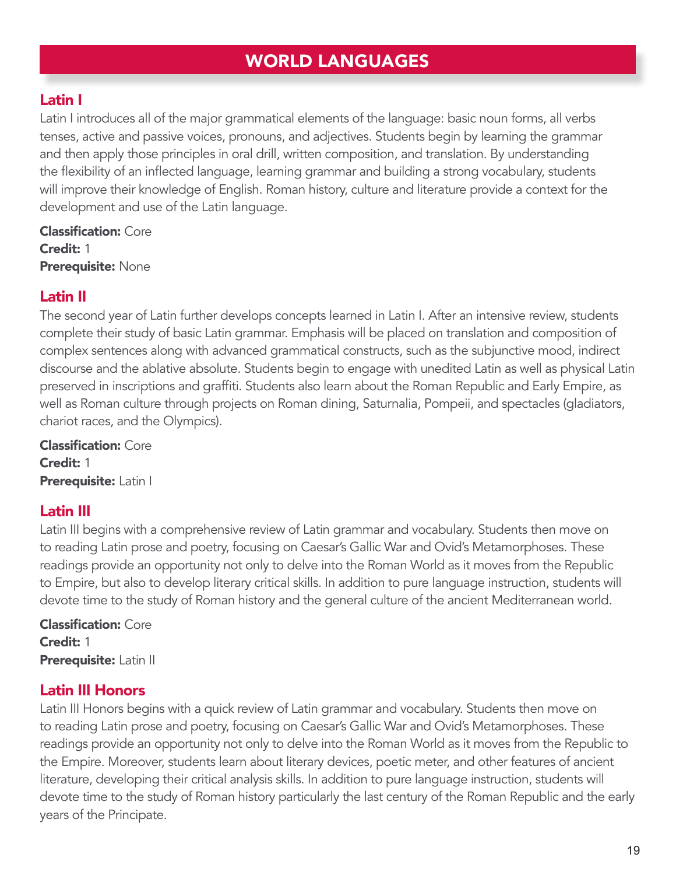# WORLD LANGUAGES

#### Latin I

Latin I introduces all of the major grammatical elements of the language: basic noun forms, all verbs tenses, active and passive voices, pronouns, and adjectives. Students begin by learning the grammar and then apply those principles in oral drill, written composition, and translation. By understanding the flexibility of an inflected language, learning grammar and building a strong vocabulary, students will improve their knowledge of English. Roman history, culture and literature provide a context for the development and use of the Latin language.

Classification: Core Credit: 1 Prerequisite: None

#### Latin II

The second year of Latin further develops concepts learned in Latin I. After an intensive review, students complete their study of basic Latin grammar. Emphasis will be placed on translation and composition of complex sentences along with advanced grammatical constructs, such as the subjunctive mood, indirect discourse and the ablative absolute. Students begin to engage with unedited Latin as well as physical Latin preserved in inscriptions and graffiti. Students also learn about the Roman Republic and Early Empire, as well as Roman culture through projects on Roman dining, Saturnalia, Pompeii, and spectacles (gladiators, chariot races, and the Olympics).

Classification: Core Credit: 1 Prerequisite: Latin I

#### Latin III

Latin III begins with a comprehensive review of Latin grammar and vocabulary. Students then move on to reading Latin prose and poetry, focusing on Caesar's Gallic War and Ovid's Metamorphoses. These readings provide an opportunity not only to delve into the Roman World as it moves from the Republic to Empire, but also to develop literary critical skills. In addition to pure language instruction, students will devote time to the study of Roman history and the general culture of the ancient Mediterranean world.

Classification: Core Credit: 1 Prerequisite: Latin II

#### Latin III Honors

Latin III Honors begins with a quick review of Latin grammar and vocabulary. Students then move on to reading Latin prose and poetry, focusing on Caesar's Gallic War and Ovid's Metamorphoses. These readings provide an opportunity not only to delve into the Roman World as it moves from the Republic to the Empire. Moreover, students learn about literary devices, poetic meter, and other features of ancient literature, developing their critical analysis skills. In addition to pure language instruction, students will devote time to the study of Roman history particularly the last century of the Roman Republic and the early years of the Principate.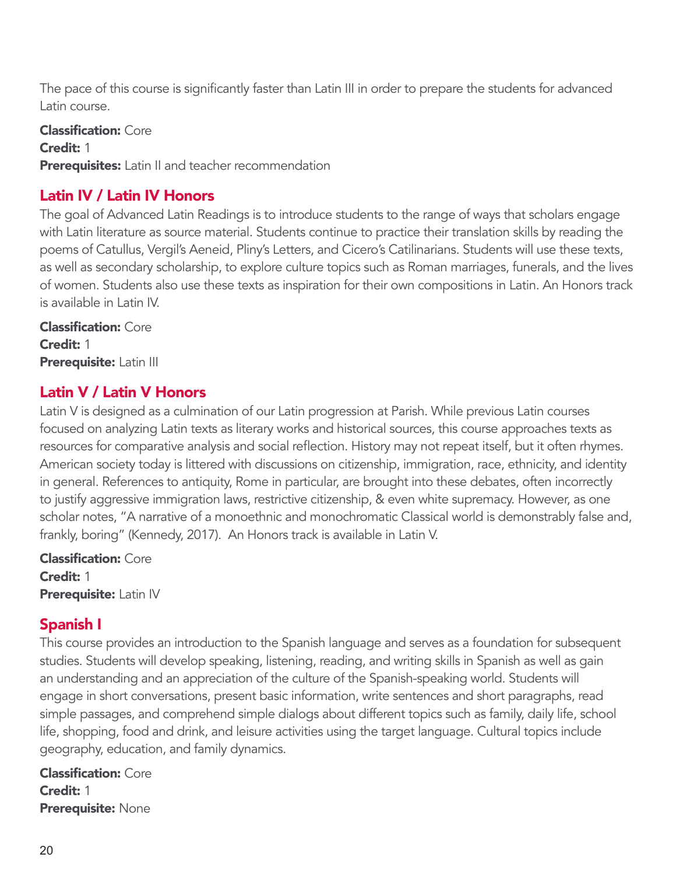The pace of this course is significantly faster than Latin III in order to prepare the students for advanced Latin course.

Classification: Core Credit: 1 Prerequisites: Latin II and teacher recommendation

#### Latin IV / Latin IV Honors

The goal of Advanced Latin Readings is to introduce students to the range of ways that scholars engage with Latin literature as source material. Students continue to practice their translation skills by reading the poems of Catullus, Vergil's Aeneid, Pliny's Letters, and Cicero's Catilinarians. Students will use these texts, as well as secondary scholarship, to explore culture topics such as Roman marriages, funerals, and the lives of women. Students also use these texts as inspiration for their own compositions in Latin. An Honors track is available in Latin IV.

Classification: Core Credit: 1 Prerequisite: Latin III

#### Latin V / Latin V Honors

Latin V is designed as a culmination of our Latin progression at Parish. While previous Latin courses focused on analyzing Latin texts as literary works and historical sources, this course approaches texts as resources for comparative analysis and social reflection. History may not repeat itself, but it often rhymes. American society today is littered with discussions on citizenship, immigration, race, ethnicity, and identity in general. References to antiquity, Rome in particular, are brought into these debates, often incorrectly to justify aggressive immigration laws, restrictive citizenship, & even white supremacy. However, as one scholar notes, "A narrative of a monoethnic and monochromatic Classical world is demonstrably false and, frankly, boring" (Kennedy, 2017). An Honors track is available in Latin V.

Classification: Core Credit: 1 Prerequisite: Latin IV

### Spanish I

This course provides an introduction to the Spanish language and serves as a foundation for subsequent studies. Students will develop speaking, listening, reading, and writing skills in Spanish as well as gain an understanding and an appreciation of the culture of the Spanish-speaking world. Students will engage in short conversations, present basic information, write sentences and short paragraphs, read simple passages, and comprehend simple dialogs about different topics such as family, daily life, school life, shopping, food and drink, and leisure activities using the target language. Cultural topics include geography, education, and family dynamics.

Classification: Core Credit: 1 Prerequisite: None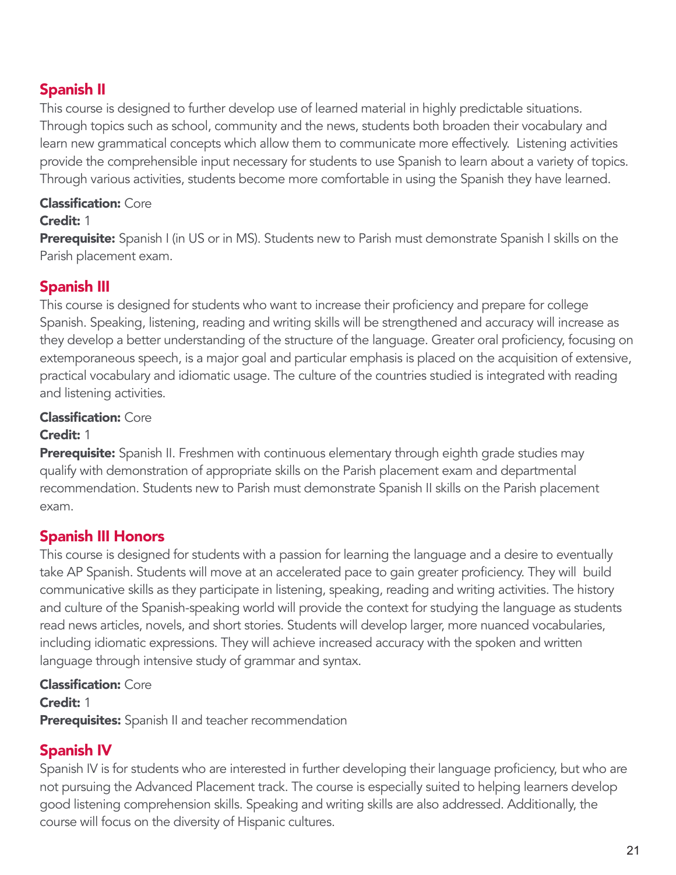# Spanish II

This course is designed to further develop use of learned material in highly predictable situations. Through topics such as school, community and the news, students both broaden their vocabulary and learn new grammatical concepts which allow them to communicate more effectively. Listening activities provide the comprehensible input necessary for students to use Spanish to learn about a variety of topics. Through various activities, students become more comfortable in using the Spanish they have learned.

#### Classification: Core

#### Credit: 1

Prerequisite: Spanish I (in US or in MS). Students new to Parish must demonstrate Spanish I skills on the Parish placement exam.

### Spanish III

This course is designed for students who want to increase their proficiency and prepare for college Spanish. Speaking, listening, reading and writing skills will be strengthened and accuracy will increase as they develop a better understanding of the structure of the language. Greater oral proficiency, focusing on extemporaneous speech, is a major goal and particular emphasis is placed on the acquisition of extensive, practical vocabulary and idiomatic usage. The culture of the countries studied is integrated with reading and listening activities.

#### Classification: Core

#### Credit: 1

**Prerequisite:** Spanish II. Freshmen with continuous elementary through eighth grade studies may qualify with demonstration of appropriate skills on the Parish placement exam and departmental recommendation. Students new to Parish must demonstrate Spanish II skills on the Parish placement exam.

### Spanish III Honors

This course is designed for students with a passion for learning the language and a desire to eventually take AP Spanish. Students will move at an accelerated pace to gain greater proficiency. They will build communicative skills as they participate in listening, speaking, reading and writing activities. The history and culture of the Spanish-speaking world will provide the context for studying the language as students read news articles, novels, and short stories. Students will develop larger, more nuanced vocabularies, including idiomatic expressions. They will achieve increased accuracy with the spoken and written language through intensive study of grammar and syntax.

Classification: Core Credit: 1 Prerequisites: Spanish II and teacher recommendation

### Spanish IV

Spanish IV is for students who are interested in further developing their language proficiency, but who are not pursuing the Advanced Placement track. The course is especially suited to helping learners develop good listening comprehension skills. Speaking and writing skills are also addressed. Additionally, the course will focus on the diversity of Hispanic cultures.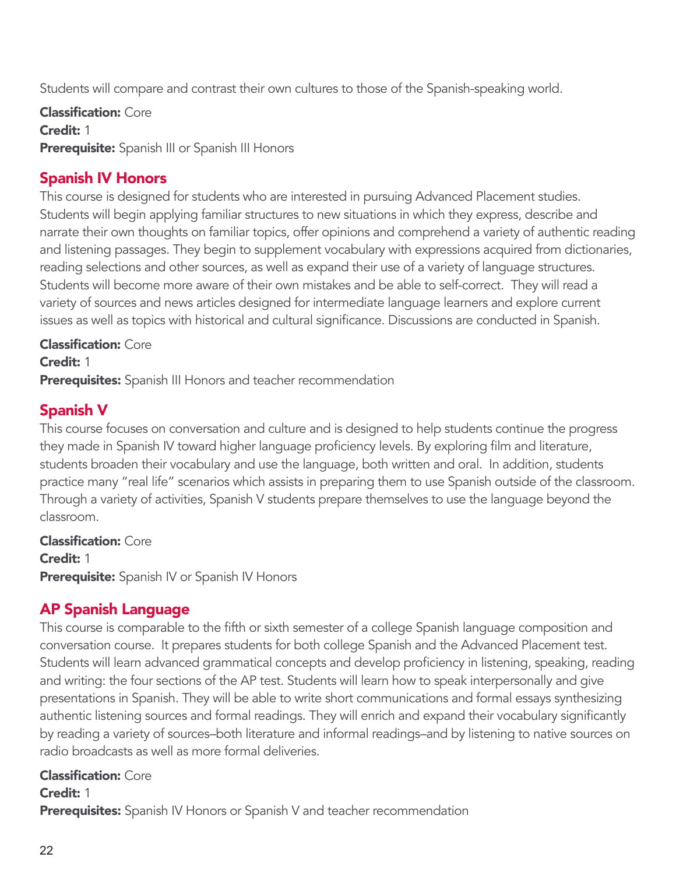Students will compare and contrast their own cultures to those of the Spanish-speaking world.

Classification: Core Credit: 1 Prerequisite: Spanish III or Spanish III Honors

### Spanish IV Honors

This course is designed for students who are interested in pursuing Advanced Placement studies. Students will begin applying familiar structures to new situations in which they express, describe and narrate their own thoughts on familiar topics, offer opinions and comprehend a variety of authentic reading and listening passages. They begin to supplement vocabulary with expressions acquired from dictionaries, reading selections and other sources, as well as expand their use of a variety of language structures. Students will become more aware of their own mistakes and be able to self-correct. They will read a variety of sources and news articles designed for intermediate language learners and explore current issues as well as topics with historical and cultural significance. Discussions are conducted in Spanish.

#### Classification: Core

Credit: 1

Prerequisites: Spanish III Honors and teacher recommendation

#### Spanish V

This course focuses on conversation and culture and is designed to help students continue the progress they made in Spanish IV toward higher language proficiency levels. By exploring film and literature, students broaden their vocabulary and use the language, both written and oral. In addition, students practice many "real life" scenarios which assists in preparing them to use Spanish outside of the classroom. Through a variety of activities, Spanish V students prepare themselves to use the language beyond the classroom.

Classification: Core Credit: 1 **Prerequisite:** Spanish IV or Spanish IV Honors

#### AP Spanish Language

This course is comparable to the fifth or sixth semester of a college Spanish language composition and conversation course. It prepares students for both college Spanish and the Advanced Placement test. Students will learn advanced grammatical concepts and develop proficiency in listening, speaking, reading and writing: the four sections of the AP test. Students will learn how to speak interpersonally and give presentations in Spanish. They will be able to write short communications and formal essays synthesizing authentic listening sources and formal readings. They will enrich and expand their vocabulary significantly by reading a variety of sources–both literature and informal readings–and by listening to native sources on radio broadcasts as well as more formal deliveries.

Classification: Core

Credit: 1 **Prerequisites:** Spanish IV Honors or Spanish V and teacher recommendation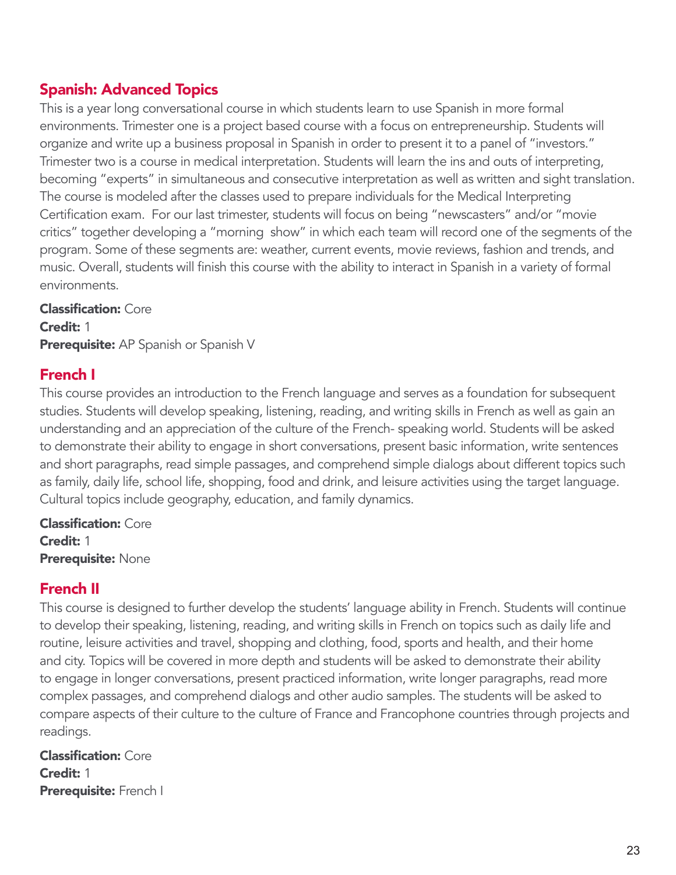# Spanish: Advanced Topics

This is a year long conversational course in which students learn to use Spanish in more formal environments. Trimester one is a project based course with a focus on entrepreneurship. Students will organize and write up a business proposal in Spanish in order to present it to a panel of "investors." Trimester two is a course in medical interpretation. Students will learn the ins and outs of interpreting, becoming "experts" in simultaneous and consecutive interpretation as well as written and sight translation. The course is modeled after the classes used to prepare individuals for the Medical Interpreting Certification exam. For our last trimester, students will focus on being "newscasters" and/or "movie critics" together developing a "morning show" in which each team will record one of the segments of the program. Some of these segments are: weather, current events, movie reviews, fashion and trends, and music. Overall, students will finish this course with the ability to interact in Spanish in a variety of formal environments.

Classification: Core Credit: 1 Prerequisite: AP Spanish or Spanish V

#### French I

This course provides an introduction to the French language and serves as a foundation for subsequent studies. Students will develop speaking, listening, reading, and writing skills in French as well as gain an understanding and an appreciation of the culture of the French- speaking world. Students will be asked to demonstrate their ability to engage in short conversations, present basic information, write sentences and short paragraphs, read simple passages, and comprehend simple dialogs about different topics such as family, daily life, school life, shopping, food and drink, and leisure activities using the target language. Cultural topics include geography, education, and family dynamics.

Classification: Core Credit: 1 Prerequisite: None

### French II

This course is designed to further develop the students' language ability in French. Students will continue to develop their speaking, listening, reading, and writing skills in French on topics such as daily life and routine, leisure activities and travel, shopping and clothing, food, sports and health, and their home and city. Topics will be covered in more depth and students will be asked to demonstrate their ability to engage in longer conversations, present practiced information, write longer paragraphs, read more complex passages, and comprehend dialogs and other audio samples. The students will be asked to compare aspects of their culture to the culture of France and Francophone countries through projects and readings.

Classification: Core Credit: 1 Prerequisite: French I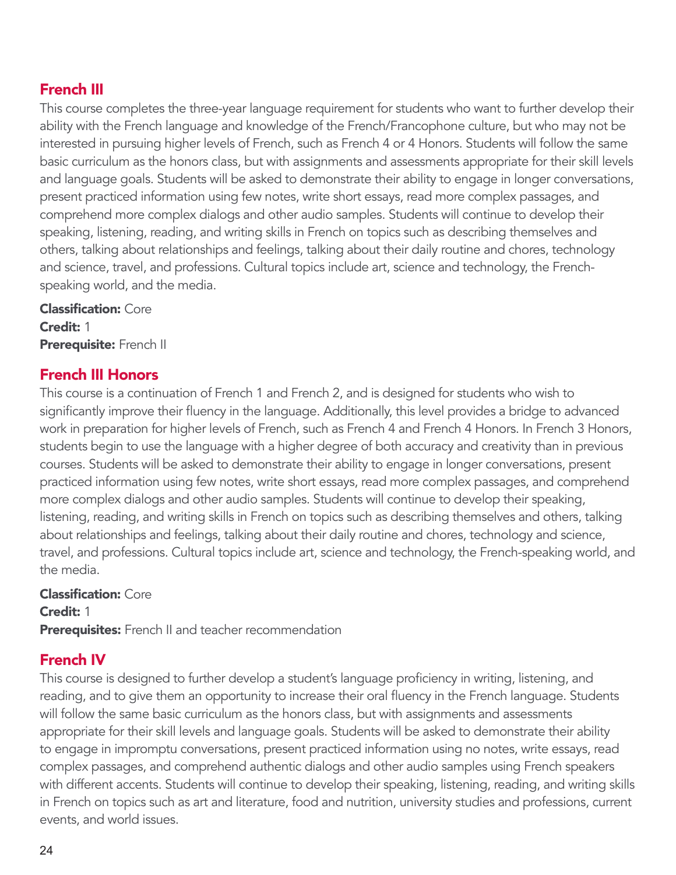# French III

This course completes the three-year language requirement for students who want to further develop their ability with the French language and knowledge of the French/Francophone culture, but who may not be interested in pursuing higher levels of French, such as French 4 or 4 Honors. Students will follow the same basic curriculum as the honors class, but with assignments and assessments appropriate for their skill levels and language goals. Students will be asked to demonstrate their ability to engage in longer conversations, present practiced information using few notes, write short essays, read more complex passages, and comprehend more complex dialogs and other audio samples. Students will continue to develop their speaking, listening, reading, and writing skills in French on topics such as describing themselves and others, talking about relationships and feelings, talking about their daily routine and chores, technology and science, travel, and professions. Cultural topics include art, science and technology, the Frenchspeaking world, and the media.

Classification: Core Credit: 1 Prerequisite: French II

#### French III Honors

This course is a continuation of French 1 and French 2, and is designed for students who wish to significantly improve their fluency in the language. Additionally, this level provides a bridge to advanced work in preparation for higher levels of French, such as French 4 and French 4 Honors. In French 3 Honors, students begin to use the language with a higher degree of both accuracy and creativity than in previous courses. Students will be asked to demonstrate their ability to engage in longer conversations, present practiced information using few notes, write short essays, read more complex passages, and comprehend more complex dialogs and other audio samples. Students will continue to develop their speaking, listening, reading, and writing skills in French on topics such as describing themselves and others, talking about relationships and feelings, talking about their daily routine and chores, technology and science, travel, and professions. Cultural topics include art, science and technology, the French-speaking world, and the media.

Classification: Core Credit: 1 Prerequisites: French II and teacher recommendation

### French IV

This course is designed to further develop a student's language proficiency in writing, listening, and reading, and to give them an opportunity to increase their oral fluency in the French language. Students will follow the same basic curriculum as the honors class, but with assignments and assessments appropriate for their skill levels and language goals. Students will be asked to demonstrate their ability to engage in impromptu conversations, present practiced information using no notes, write essays, read complex passages, and comprehend authentic dialogs and other audio samples using French speakers with different accents. Students will continue to develop their speaking, listening, reading, and writing skills in French on topics such as art and literature, food and nutrition, university studies and professions, current events, and world issues.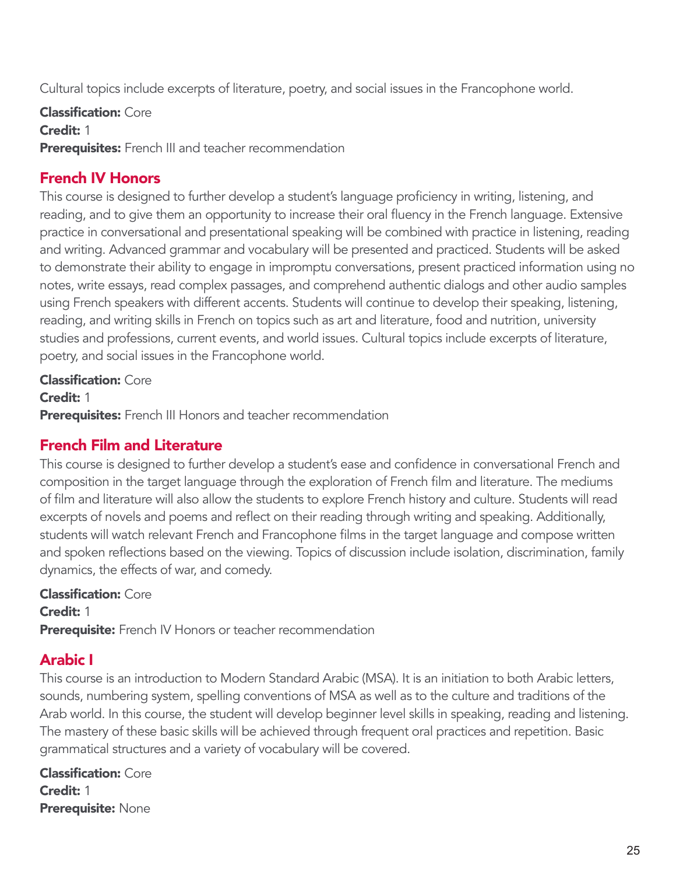Cultural topics include excerpts of literature, poetry, and social issues in the Francophone world.

Classification: Core Credit: 1 Prerequisites: French III and teacher recommendation

# French IV Honors

This course is designed to further develop a student's language proficiency in writing, listening, and reading, and to give them an opportunity to increase their oral fluency in the French language. Extensive practice in conversational and presentational speaking will be combined with practice in listening, reading and writing. Advanced grammar and vocabulary will be presented and practiced. Students will be asked to demonstrate their ability to engage in impromptu conversations, present practiced information using no notes, write essays, read complex passages, and comprehend authentic dialogs and other audio samples using French speakers with different accents. Students will continue to develop their speaking, listening, reading, and writing skills in French on topics such as art and literature, food and nutrition, university studies and professions, current events, and world issues. Cultural topics include excerpts of literature, poetry, and social issues in the Francophone world.

Classification: Core Credit: 1 Prerequisites: French III Honors and teacher recommendation

# French Film and Literature

This course is designed to further develop a student's ease and confidence in conversational French and composition in the target language through the exploration of French film and literature. The mediums of film and literature will also allow the students to explore French history and culture. Students will read excerpts of novels and poems and reflect on their reading through writing and speaking. Additionally, students will watch relevant French and Francophone films in the target language and compose written and spoken reflections based on the viewing. Topics of discussion include isolation, discrimination, family dynamics, the effects of war, and comedy.

Classification: Core Credit: 1 **Prerequisite:** French IV Honors or teacher recommendation

### Arabic I

This course is an introduction to Modern Standard Arabic (MSA). It is an initiation to both Arabic letters, sounds, numbering system, spelling conventions of MSA as well as to the culture and traditions of the Arab world. In this course, the student will develop beginner level skills in speaking, reading and listening. The mastery of these basic skills will be achieved through frequent oral practices and repetition. Basic grammatical structures and a variety of vocabulary will be covered.

Classification: Core Credit: 1 Prerequisite: None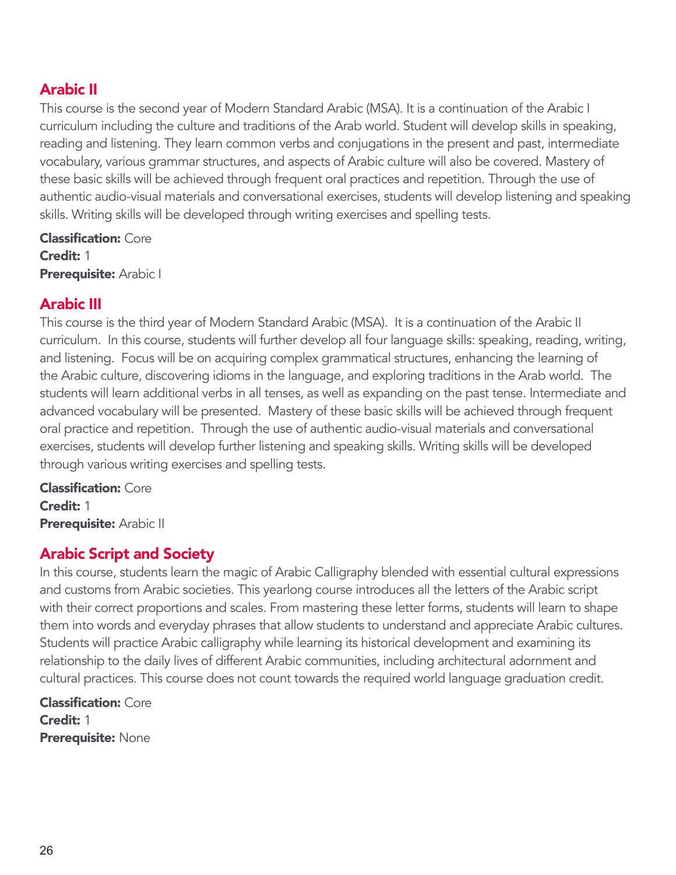# Arabic II

This course is the second year of Modern Standard Arabic (MSA). It is a continuation of the Arabic I curriculum including the culture and traditions of the Arab world. Student will develop skills in speaking, reading and listening. They learn common verbs and conjugations in the present and past, intermediate vocabulary, various grammar structures, and aspects of Arabic culture will also be covered. Mastery of these basic skills will be achieved through frequent oral practices and repetition. Through the use of authentic audio-visual materials and conversational exercises, students will develop listening and speaking skills. Writing skills will be developed through writing exercises and spelling tests.

Classification: Core Credit: 1 Prerequisite: Arabic I

#### Arabic III

This course is the third year of Modern Standard Arabic (MSA). It is a continuation of the Arabic II curriculum. In this course, students will further develop all four language skills: speaking, reading, writing, and listening. Focus will be on acquiring complex grammatical structures, enhancing the learning of the Arabic culture, discovering idioms in the language, and exploring traditions in the Arab world. The students will learn additional verbs in all tenses, as well as expanding on the past tense. Intermediate and advanced vocabulary will be presented. Mastery of these basic skills will be achieved through frequent oral practice and repetition. Through the use of authentic audio-visual materials and conversational exercises, students will develop further listening and speaking skills. Writing skills will be developed through various writing exercises and spelling tests.

Classification: Core Credit: 1 Prerequisite: Arabic II

### Arabic Script and Society

In this course, students learn the magic of Arabic Calligraphy blended with essential cultural expressions and customs from Arabic societies. This yearlong course introduces all the letters of the Arabic script with their correct proportions and scales. From mastering these letter forms, students will learn to shape them into words and everyday phrases that allow students to understand and appreciate Arabic cultures. Students will practice Arabic calligraphy while learning its historical development and examining its relationship to the daily lives of different Arabic communities, including architectural adornment and cultural practices. This course does not count towards the required world language graduation credit.

Classification: Core Credit: 1 Prerequisite: None